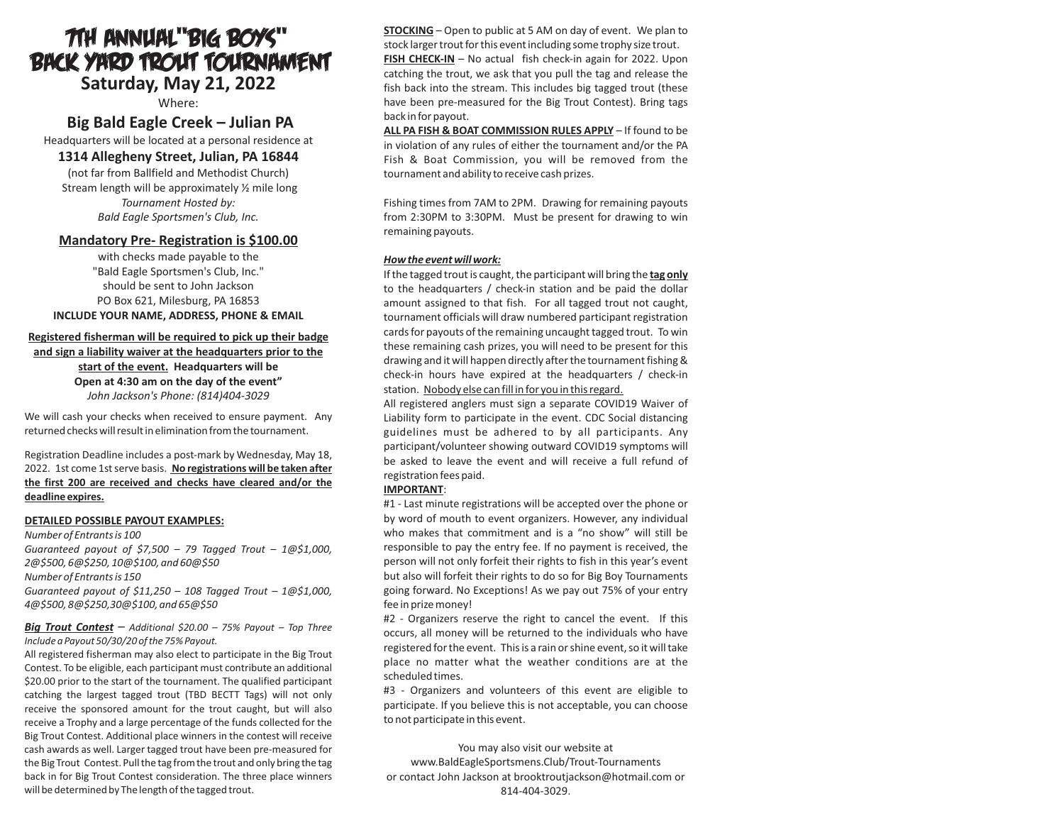# **Saturday, May 21, 2022** 7th Annual"Big Boys" Back Yard Trout Tournament

Where:

# **Big Bald Eagle Creek – Julian PA**

Headquarters will be located at a personal residence at

## **1314 Allegheny Street, Julian, PA 16844**

(not far from Ballfield and Methodist Church) Stream length will be approximately ½ mile long *Tournament Hosted by: Bald Eagle Sportsmen's Club, Inc.*

## **Mandatory Pre- Registration is \$100.00**

with checks made payable to the "Bald Eagle Sportsmen's Club, Inc." should be sent to John Jackson PO Box 621, Milesburg, PA 16853 **INCLUDE YOUR NAME, ADDRESS, PHONE & EMAIL**

#### **Registered fisherman will be required to pick up their badge and sign a liability waiver at the headquarters prior to the**

**start of the event. Headquarters will be Open at 4:30 am on the day of the event"** *John Jackson's Phone: (814)404-3029*

We will cash your checks when received to ensure payment. Any returned checks will result in elimination from the tournament.

Registration Deadline includes a post-mark by Wednesday, May 18, 2022. 1st come 1st serve basis. **No registrations will be taken after the first 200 are received and checks have cleared and/or the deadline expires.**

#### **DETAILED POSSIBLE PAYOUT EXAMPLES:**

*Number of Entrants is 100 Guaranteed payout of \$7,500 – 79 Tagged Trout – 1@\$1,000, 2@\$500, 6@\$250, 10@\$100, and 60@\$50 Number of Entrants is 150 Guaranteed payout of \$11,250 – 108 Tagged Trout – 1@\$1,000, 4@\$500, 8@\$250,30@\$100, and 65@\$50*

#### *Big Trout Contest – Additional \$20.00 – 75% Payout – Top Three Include a Payout 50/30/20 of the 75% Payout.*

All registered fisherman may also elect to participate in the Big Trout Contest. To be eligible, each participant must contribute an additional \$20.00 prior to the start of the tournament. The qualified participant catching the largest tagged trout (TBD BECTT Tags) will not only receive the sponsored amount for the trout caught, but will also receive a Trophy and a large percentage of the funds collected for the Big Trout Contest. Additional place winners in the contest will receive cash awards as well. Larger tagged trout have been pre-measured for the Big Trout Contest. Pull the tag from the trout and only bring the tag back in for Big Trout Contest consideration. The three place winners will be determined by The length of the tagged trout.

**STOCKING** – Open to public at 5 AM on day of event. We plan to stock larger trout for this event including some trophy size trout. **FISH CHECK-IN** – No actual fish check-in again for 2022. Upon

catching the trout, we ask that you pull the tag and release the fish back into the stream. This includes big tagged trout (these have been pre-measured for the Big Trout Contest). Bring tags back in for payout.

**ALL PA FISH & BOAT COMMISSION RULES APPLY** – If found to be in violation of any rules of either the tournament and/or the PA Fish & Boat Commission, you will be removed from the tournament and ability to receive cash prizes.

Fishing times from 7AM to 2PM. Drawing for remaining payouts from 2:30PM to 3:30PM. Must be present for drawing to win remaining payouts.

#### *How the event will work:*

If the tagged trout is caught, the participant will bring the **tag only** to the headquarters / check-in station and be paid the dollar amount assigned to that fish. For all tagged trout not caught, tournament officials will draw numbered participant registration cards for payouts of the remaining uncaught tagged trout. To win these remaining cash prizes, you will need to be present for this drawing and it will happen directly after the tournament fishing & check-in hours have expired at the headquarters / check-in station. Nobody else can fill in for you in this regard.

All registered anglers must sign a separate COVID19 Waiver of Liability form to participate in the event. CDC Social distancing guidelines must be adhered to by all participants. Any participant/volunteer showing outward COVID19 symptoms will be asked to leave the event and will receive a full refund of registration fees paid.

#### **IMPORTANT**:

#1 - Last minute registrations will be accepted over the phone or by word of mouth to event organizers. However, any individual who makes that commitment and is a "no show" will still be responsible to pay the entry fee. If no payment is received, the person will not only forfeit their rights to fish in this year's event but also will forfeit their rights to do so for Big Boy Tournaments going forward. No Exceptions! As we pay out 75% of your entry fee in prize money!

#2 - Organizers reserve the right to cancel the event. If this occurs, all money will be returned to the individuals who have registered for the event. This is a rain or shine event, so it will take place no matter what the weather conditions are at the scheduled times.

#3 - Organizers and volunteers of this event are eligible to participate. If you believe this is not acceptable, you can choose to not participate in this event.

You may also visit our website at www.BaldEagleSportsmens.Club/Trout-Tournaments or contact John Jackson at brooktroutjackson@hotmail.com or 814-404-3029.